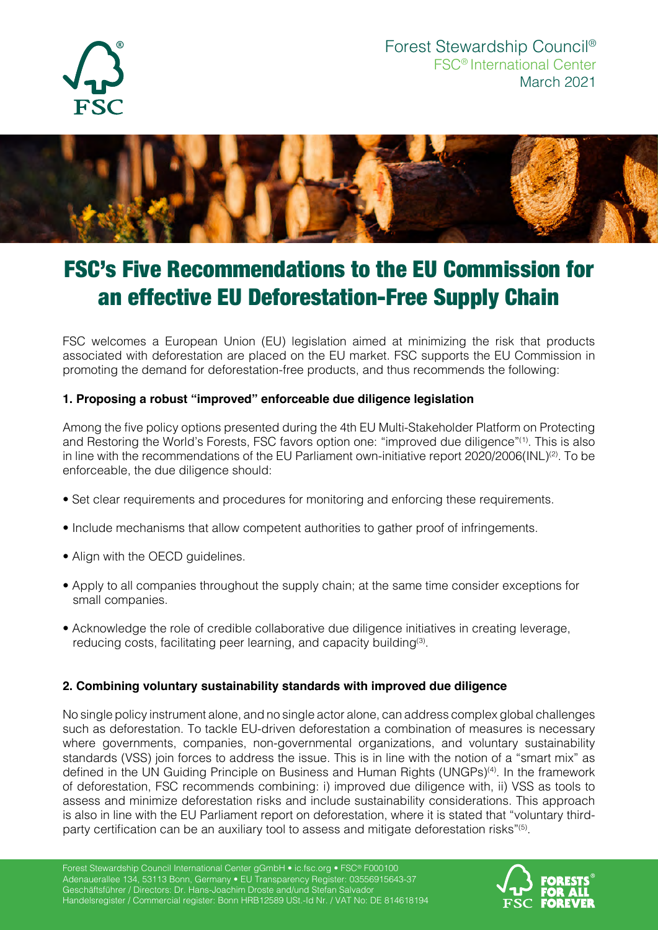



# FSC's Five Recommendations to the EU Commission for an effective EU Deforestation-Free Supply Chain

FSC welcomes a European Union (EU) legislation aimed at minimizing the risk that products associated with deforestation are placed on the EU market. FSC supports the EU Commission in promoting the demand for deforestation-free products, and thus recommends the following:

### **1. Proposing a robust "improved" enforceable due diligence legislation**

Among the five policy options presented during the 4th EU Multi-Stakeholder Platform on Protecting and Restoring the World's Forests, FSC favors option one: "improved due diligence"(1). This is also in line with the recommendations of the EU Parliament own-initiative report  $2020/2006$ (INL)<sup>(2)</sup>. To be enforceable, the due diligence should:

- Set clear requirements and procedures for monitoring and enforcing these requirements.
- Include mechanisms that allow competent authorities to gather proof of infringements.
- Align with the OECD quidelines.
- Apply to all companies throughout the supply chain; at the same time consider exceptions for small companies.
- Acknowledge the role of credible collaborative due diligence initiatives in creating leverage, reducing costs, facilitating peer learning, and capacity building<sup>(3)</sup>.

#### **2. Combining voluntary sustainability standards with improved due diligence**

No single policy instrument alone, and no single actor alone, can address complex global challenges such as deforestation. To tackle EU-driven deforestation a combination of measures is necessary where governments, companies, non-governmental organizations, and voluntary sustainability standards (VSS) join forces to address the issue. This is in line with the notion of a "smart mix" as defined in the UN Guiding Principle on Business and Human Rights (UNGPs)(4). In the framework of deforestation, FSC recommends combining: i) improved due diligence with, ii) VSS as tools to assess and minimize deforestation risks and include sustainability considerations. This approach is also in line with the EU Parliament report on deforestation, where it is stated that "voluntary thirdparty certification can be an auxiliary tool to assess and mitigate deforestation risks"<sup>(5)</sup>.

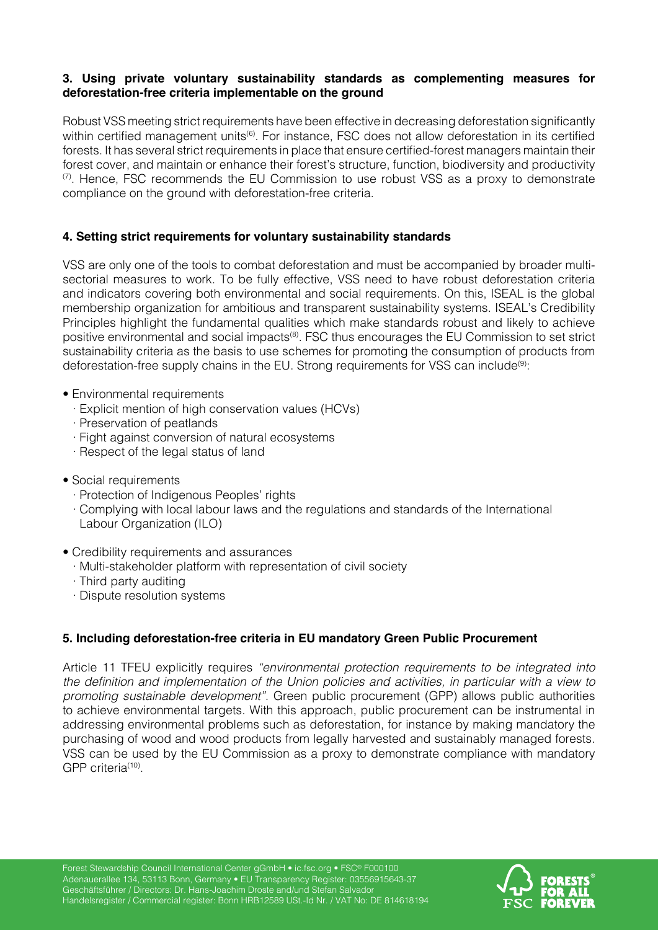#### **3. Using private voluntary sustainability standards as complementing measures for deforestation-free criteria implementable on the ground**

Robust VSS meeting strict requirements have been effective in decreasing deforestation significantly within certified management units<sup>(6)</sup>. For instance, FSC does not allow deforestation in its certified forests. It has several strict requirements in place that ensure certified-forest managers maintain their forest cover, and maintain or enhance their forest's structure, function, biodiversity and productivity  $(7)$ . Hence, FSC recommends the EU Commission to use robust VSS as a proxy to demonstrate compliance on the ground with deforestation-free criteria.

### **4. Setting strict requirements for voluntary sustainability standards**

VSS are only one of the tools to combat deforestation and must be accompanied by broader multisectorial measures to work. To be fully effective, VSS need to have robust deforestation criteria and indicators covering both environmental and social requirements. On this, ISEAL is the global membership organization for ambitious and transparent sustainability systems. ISEAL's Credibility Principles highlight the fundamental qualities which make standards robust and likely to achieve positive environmental and social impacts<sup>(8)</sup>. FSC thus encourages the EU Commission to set strict sustainability criteria as the basis to use schemes for promoting the consumption of products from deforestation-free supply chains in the EU. Strong requirements for VSS can include<sup>(9)</sup>:

- Environmental requirements
	- · Explicit mention of high conservation values (HCVs)
	- · Preservation of peatlands
	- · Fight against conversion of natural ecosystems
	- · Respect of the legal status of land
- Social requirements
	- · Protection of Indigenous Peoples' rights
	- · Complying with local labour laws and the regulations and standards of the International Labour Organization (ILO)
- Credibility requirements and assurances
	- · Multi-stakeholder platform with representation of civil society
	- · Third party auditing
	- · Dispute resolution systems

## **5. Including deforestation-free criteria in EU mandatory Green Public Procurement**

Article 11 TFEU explicitly requires *"environmental protection requirements to be integrated into*  the definition and implementation of the Union policies and activities, in particular with a view to *promoting sustainable development"*. Green public procurement (GPP) allows public authorities to achieve environmental targets. With this approach, public procurement can be instrumental in addressing environmental problems such as deforestation, for instance by making mandatory the purchasing of wood and wood products from legally harvested and sustainably managed forests. VSS can be used by the EU Commission as a proxy to demonstrate compliance with mandatory GPP criteria<sup>(10)</sup>.